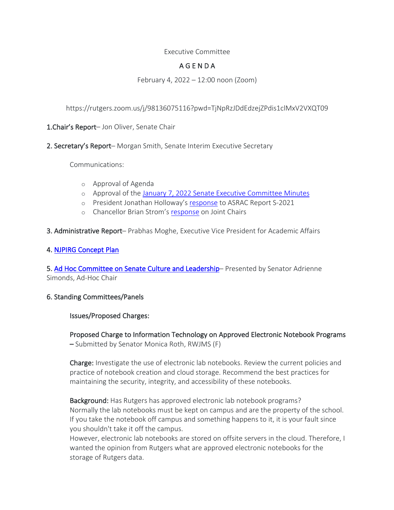# Executive Committee

# A G E N D A

February 4, 2022 – 12:00 noon (Zoom)

https://rutgers.zoom.us/j/98136075116?pwd=TjNpRzJDdEdzejZPdis1clMxV2VXQT09

1. Chair's Report- Jon Oliver, Senate Chair

2. Secretary's Report– Morgan Smith, Senate Interim Executive Secretary

Communications:

- o Approval of Agenda
- o Approval of the January 7, 2022 Senate Executive Committee Minutes
- o President Jonathan Holloway's response to ASRAC Report S-2021
- o Chancellor Brian Strom's response on Joint Chairs
- 3. Administrative Report– Prabhas Moghe, Executive Vice President for Academic Affairs

# 4. NJPIRG Concept Plan

5. Ad Hoc Committee on Senate Culture and Leadership– Presented by Senator Adrienne Simonds, Ad-Hoc Chair

#### 6. Standing Committees/Panels

#### Issues/Proposed Charges:

Proposed Charge to Information Technology on Approved Electronic Notebook Programs – Submitted by Senator Monica Roth, RWJMS (F)

Charge: Investigate the use of electronic lab notebooks. Review the current policies and practice of notebook creation and cloud storage. Recommend the best practices for maintaining the security, integrity, and accessibility of these notebooks.

Background: Has Rutgers has approved electronic lab notebook programs? Normally the lab notebooks must be kept on campus and are the property of the school. If you take the notebook off campus and something happens to it, it is your fault since you shouldn't take it off the campus.

However, electronic lab notebooks are stored on offsite servers in the cloud. Therefore, I wanted the opinion from Rutgers what are approved electronic notebooks for the storage of Rutgers data.